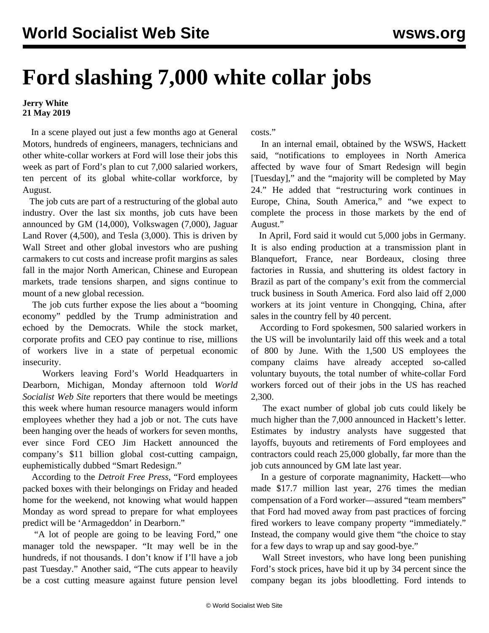## **Ford slashing 7,000 white collar jobs**

## **Jerry White 21 May 2019**

 In a scene played out just a few months ago at General Motors, hundreds of engineers, managers, technicians and other white-collar workers at Ford will lose their jobs this week as part of Ford's plan to cut 7,000 salaried workers, ten percent of its global white-collar workforce, by August.

 The job cuts are part of a restructuring of the global auto industry. Over the last six months, job cuts have been announced by GM (14,000), Volkswagen (7,000), Jaguar Land Rover (4,500), and Tesla (3,000). This is driven by Wall Street and other global investors who are pushing carmakers to cut costs and increase profit margins as sales fall in the major North American, Chinese and European markets, trade tensions sharpen, and signs continue to mount of a new global recession.

 The job cuts further expose the lies about a "booming economy" peddled by the Trump administration and echoed by the Democrats. While the stock market, corporate profits and CEO pay continue to rise, millions of workers live in a state of perpetual economic insecurity.

 Workers leaving Ford's World Headquarters in Dearborn, Michigan, Monday afternoon told *World Socialist Web Site* reporters that there would be meetings this week where human resource managers would inform employees whether they had a job or not. The cuts have been hanging over the heads of workers for seven months, ever since Ford CEO Jim Hackett announced the company's \$11 billion global cost-cutting campaign, euphemistically dubbed "Smart Redesign."

 According to the *Detroit Free Press*, "Ford employees packed boxes with their belongings on Friday and headed home for the weekend, not knowing what would happen Monday as word spread to prepare for what employees predict will be 'Armageddon' in Dearborn."

 "A lot of people are going to be leaving Ford," one manager told the newspaper. "It may well be in the hundreds, if not thousands. I don't know if I'll have a job past Tuesday." Another said, "The cuts appear to heavily be a cost cutting measure against future pension level

costs."

 In an internal email, obtained by the WSWS, Hackett said, "notifications to employees in North America affected by wave four of Smart Redesign will begin [Tuesday]," and the "majority will be completed by May 24." He added that "restructuring work continues in Europe, China, South America," and "we expect to complete the process in those markets by the end of August."

 In April, Ford said it would cut 5,000 jobs in Germany. It is also ending production at a transmission plant in Blanquefort, France, near Bordeaux, closing three factories in Russia, and shuttering its oldest factory in Brazil as part of the company's exit from the commercial truck business in South America. Ford also laid off 2,000 workers at its joint venture in Chongqing, China, after sales in the country fell by 40 percent.

 According to Ford spokesmen, 500 salaried workers in the US will be involuntarily laid off this week and a total of 800 by June. With the 1,500 US employees the company claims have already accepted so-called voluntary buyouts, the total number of white-collar Ford workers forced out of their jobs in the US has reached 2,300.

 The exact number of global job cuts could likely be much higher than the 7,000 announced in Hackett's letter. Estimates by industry analysts have suggested that layoffs, buyouts and retirements of Ford employees and contractors could reach 25,000 globally, far more than the job cuts announced by GM late last year.

 In a gesture of corporate magnanimity, Hackett—who made \$17.7 million last year, 276 times the median compensation of a Ford worker—assured "team members" that Ford had moved away from past practices of forcing fired workers to leave company property "immediately." Instead, the company would give them "the choice to stay for a few days to wrap up and say good-bye."

 Wall Street investors, who have long been punishing Ford's stock prices, have bid it up by 34 percent since the company began its jobs bloodletting. Ford intends to